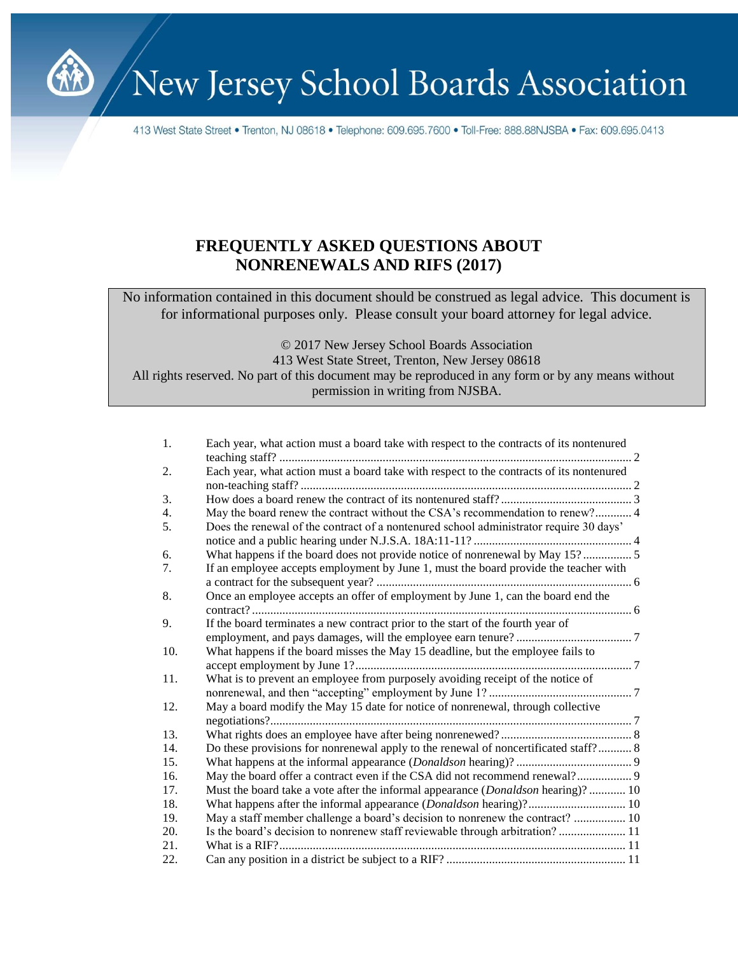

413 West State Street • Trenton, NJ 08618 • Telephone: 609.695.7600 • Toll-Free: 888.88NJSBA • Fax: 609.695.0413

# **FREQUENTLY ASKED QUESTIONS ABOUT NONRENEWALS AND RIFS (2017)**

No information contained in this document should be construed as legal advice. This document is for informational purposes only. Please consult your board attorney for legal advice.

© 2017 New Jersey School Boards Association 413 West State Street, Trenton, New Jersey 08618 All rights reserved. No part of this document may be reproduced in any form or by any means without permission in writing from NJSBA.

| 1.               | Each year, what action must a board take with respect to the contracts of its nontenured |
|------------------|------------------------------------------------------------------------------------------|
| 2.               | Each year, what action must a board take with respect to the contracts of its nontenured |
|                  |                                                                                          |
| 3.               |                                                                                          |
| $\overline{4}$ . | May the board renew the contract without the CSA's recommendation to renew? 4            |
| 5.               | Does the renewal of the contract of a nontenured school administrator require 30 days'   |
|                  |                                                                                          |
| 6.               | What happens if the board does not provide notice of nonrenewal by May 15? 5             |
| 7.               | If an employee accepts employment by June 1, must the board provide the teacher with     |
|                  |                                                                                          |
| 8.               | Once an employee accepts an offer of employment by June 1, can the board end the         |
|                  |                                                                                          |
| 9.               | If the board terminates a new contract prior to the start of the fourth year of          |
|                  |                                                                                          |
| 10.              | What happens if the board misses the May 15 deadline, but the employee fails to          |
|                  |                                                                                          |
| 11.              | What is to prevent an employee from purposely avoiding receipt of the notice of          |
|                  |                                                                                          |
| 12.              | May a board modify the May 15 date for notice of nonrenewal, through collective          |
|                  |                                                                                          |
| 13.              |                                                                                          |
| 14.              | Do these provisions for nonrenewal apply to the renewal of noncertificated staff? 8      |
| 15.              |                                                                                          |
| 16.              | May the board offer a contract even if the CSA did not recommend renewal? 9              |
| 17.              | Must the board take a vote after the informal appearance ( <i>Donaldson</i> hearing)? 10 |
| 18.              | What happens after the informal appearance ( <i>Donaldson</i> hearing)? 10               |
| 19.              | May a staff member challenge a board's decision to nonrenew the contract?  10            |
| 20.              | Is the board's decision to nonrenew staff reviewable through arbitration? 11             |
| 21.              |                                                                                          |
| 22.              |                                                                                          |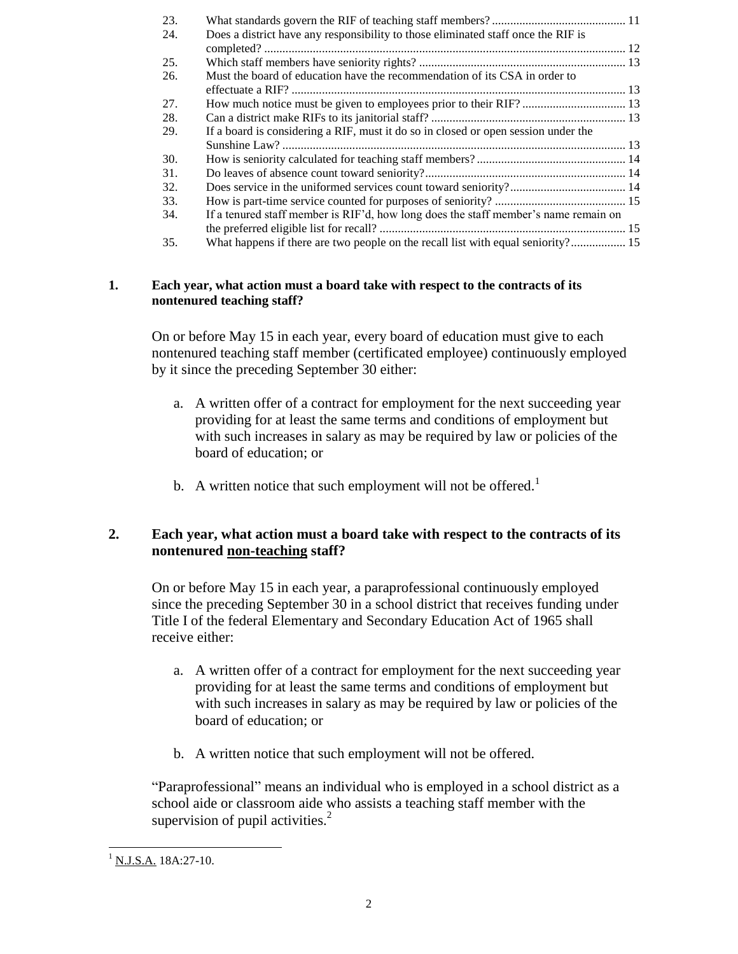| 23. |                                                                                     |  |
|-----|-------------------------------------------------------------------------------------|--|
| 24. | Does a district have any responsibility to those eliminated staff once the RIF is   |  |
|     |                                                                                     |  |
| 25. |                                                                                     |  |
| 26. | Must the board of education have the recommendation of its CSA in order to          |  |
|     |                                                                                     |  |
| 27. |                                                                                     |  |
| 28. |                                                                                     |  |
| 29. | If a board is considering a RIF, must it do so in closed or open session under the  |  |
|     |                                                                                     |  |
| 30. |                                                                                     |  |
| 31. |                                                                                     |  |
| 32. |                                                                                     |  |
| 33. |                                                                                     |  |
| 34. | If a tenured staff member is RIF'd, how long does the staff member's name remain on |  |
|     |                                                                                     |  |
| 35. | What happens if there are two people on the recall list with equal seniority? 15    |  |

# <span id="page-1-0"></span>**1. Each year, what action must a board take with respect to the contracts of its nontenured teaching staff?**

On or before May 15 in each year, every board of education must give to each nontenured teaching staff member (certificated employee) continuously employed by it since the preceding September 30 either:

- a. A written offer of a contract for employment for the next succeeding year providing for at least the same terms and conditions of employment but with such increases in salary as may be required by law or policies of the board of education; or
- b. A written notice that such employment will not be offered.<sup>1</sup>

# <span id="page-1-1"></span>**2. Each year, what action must a board take with respect to the contracts of its nontenured non-teaching staff?**

On or before May 15 in each year, a paraprofessional continuously employed since the preceding September 30 in a school district that receives funding under Title I of the federal Elementary and Secondary Education Act of 1965 shall receive either:

- a. A written offer of a contract for employment for the next succeeding year providing for at least the same terms and conditions of employment but with such increases in salary as may be required by law or policies of the board of education; or
- b. A written notice that such employment will not be offered.

"Paraprofessional" means an individual who is employed in a school district as a school aide or classroom aide who assists a teaching staff member with the supervision of pupil activities. $^{2}$ 

l  $^{1}$  N.J.S.A. 18A:27-10.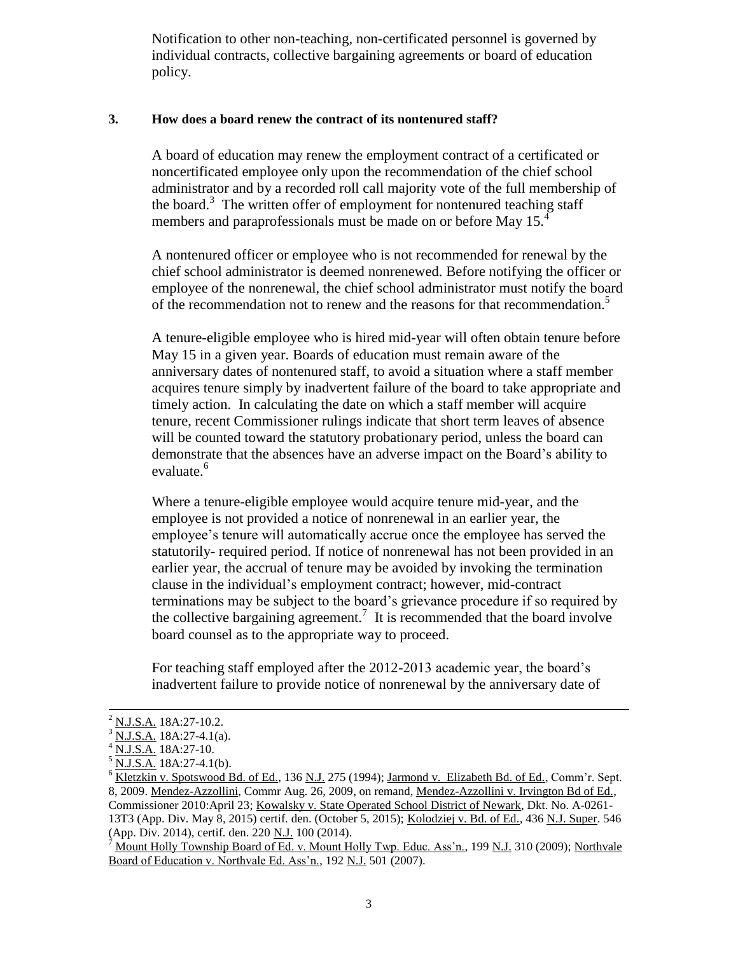Notification to other non-teaching, non-certificated personnel is governed by individual contracts, collective bargaining agreements or board of education policy.

# <span id="page-2-0"></span>**3. How does a board renew the contract of its nontenured staff?**

A board of education may renew the employment contract of a certificated or noncertificated employee only upon the recommendation of the chief school administrator and by a recorded roll call majority vote of the full membership of the board.<sup>3</sup> The written offer of employment for nontenured teaching staff members and paraprofessionals must be made on or before May 15.<sup>4</sup>

A nontenured officer or employee who is not recommended for renewal by the chief school administrator is deemed nonrenewed. Before notifying the officer or employee of the nonrenewal, the chief school administrator must notify the board of the recommendation not to renew and the reasons for that recommendation.<sup>5</sup>

A tenure-eligible employee who is hired mid-year will often obtain tenure before May 15 in a given year. Boards of education must remain aware of the anniversary dates of nontenured staff, to avoid a situation where a staff member acquires tenure simply by inadvertent failure of the board to take appropriate and timely action. In calculating the date on which a staff member will acquire tenure, recent Commissioner rulings indicate that short term leaves of absence will be counted toward the statutory probationary period, unless the board can demonstrate that the absences have an adverse impact on the Board's ability to evaluate.<sup>6</sup>

Where a tenure-eligible employee would acquire tenure mid-year, and the employee is not provided a notice of nonrenewal in an earlier year, the employee's tenure will automatically accrue once the employee has served the statutorily- required period. If notice of nonrenewal has not been provided in an earlier year, the accrual of tenure may be avoided by invoking the termination clause in the individual's employment contract; however, mid-contract terminations may be subject to the board's grievance procedure if so required by the collective bargaining agreement.<sup>7</sup> It is recommended that the board involve board counsel as to the appropriate way to proceed.

For teaching staff employed after the 2012-2013 academic year, the board's inadvertent failure to provide notice of nonrenewal by the anniversary date of

<sup>2</sup> N.J.S.A. 18A:27-10.2.

N.J.S.A. 18A:27-4.1(a).

N.J.S.A. 18A:27-10.

 $\frac{5}{1}$  N.J.S.A. 18A:27-4.1(b).

<sup>&</sup>lt;sup>6</sup> Kletzkin v. Spotswood Bd. of Ed., 136 N.J. 275 (1994); Jarmond v. Elizabeth Bd. of Ed., Comm'r. Sept. 8, 2009. Mendez-Azzollini, Commr Aug. 26, 2009, on remand, Mendez-Azzollini v. Irvington Bd of Ed., Commissioner 2010:April 23; Kowalsky v. State Operated School District of Newark, Dkt. No. A-0261- 13T3 (App. Div. May 8, 2015) certif. den. (October 5, 2015); Kolodziej v. Bd. of Ed., 436 N.J. Super. 546 (App. Div. 2014), certif. den. 220 N.J. 100 (2014).

Mount Holly Township Board of Ed. v. Mount Holly Twp. Educ. Ass'n., 199 N.J. 310 (2009); Northvale Board of Education v. Northvale Ed. Ass'n., 192 N.J. 501 (2007).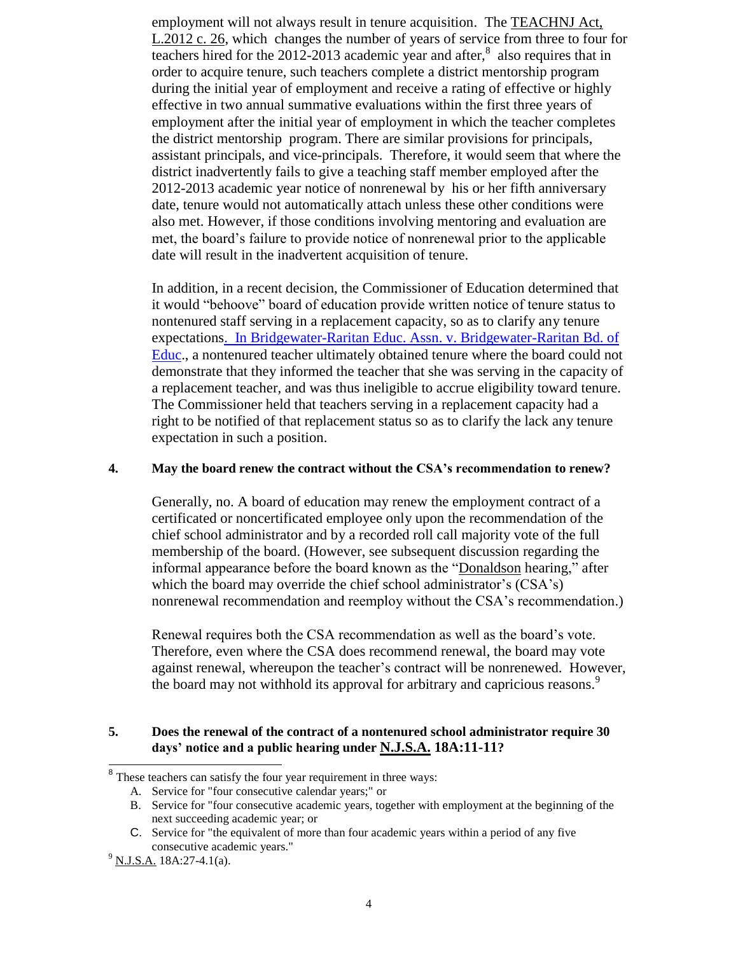employment will not always result in tenure acquisition. The [TEACHNJ Act,](http://www.njleg.state.nj.us/2012/Bills/PL12/26_.HTM)  [L.2012 c. 26,](http://www.njleg.state.nj.us/2012/Bills/PL12/26_.HTM) which changes the number of years of service from three to four for teachers hired for the 2012-2013 academic year and after, $\delta$  also requires that in order to acquire tenure, such teachers complete a district mentorship program during the initial year of employment and receive a rating of effective or highly effective in two annual summative evaluations within the first three years of employment after the initial year of employment in which the teacher completes the district mentorship program. There are similar provisions for principals, assistant principals, and vice-principals. Therefore, it would seem that where the district inadvertently fails to give a teaching staff member employed after the 2012-2013 academic year notice of nonrenewal by his or her fifth anniversary date, tenure would not automatically attach unless these other conditions were also met. However, if those conditions involving mentoring and evaluation are met, the board's failure to provide notice of nonrenewal prior to the applicable date will result in the inadvertent acquisition of tenure.

In addition, in a recent decision, the Commissioner of Education determined that it would "behoove" board of education provide written notice of tenure status to nontenured staff serving in a replacement capacity, so as to clarify any tenure expectation[s. In Bridgewater-Raritan Educ. Assn. v. Bridgewater-Raritan Bd. of](http://www.nj.gov/education/legal/commissioner/2016/jan/25-16.pdf)  [Educ.](http://www.nj.gov/education/legal/commissioner/2016/jan/25-16.pdf), a nontenured teacher ultimately obtained tenure where the board could not demonstrate that they informed the teacher that she was serving in the capacity of a replacement teacher, and was thus ineligible to accrue eligibility toward tenure. The Commissioner held that teachers serving in a replacement capacity had a right to be notified of that replacement status so as to clarify the lack any tenure expectation in such a position.

#### <span id="page-3-0"></span>**4. May the board renew the contract without the CSA's recommendation to renew?**

Generally, no. A board of education may renew the employment contract of a certificated or noncertificated employee only upon the recommendation of the chief school administrator and by a recorded roll call majority vote of the full membership of the board. (However, see subsequent discussion regarding the informal appearance before the board known as the "Donaldson hearing," after which the board may override the chief school administrator's (CSA's) nonrenewal recommendation and reemploy without the CSA's recommendation.)

Renewal requires both the CSA recommendation as well as the board's vote. Therefore, even where the CSA does recommend renewal, the board may vote against renewal, whereupon the teacher's contract will be nonrenewed. However, the board may not withhold its approval for arbitrary and capricious reasons.<sup>9</sup>

## <span id="page-3-1"></span>**5. Does the renewal of the contract of a nontenured school administrator require 30 days' notice and a public hearing under N.J.S.A. 18A:11-11?**

<sup>&</sup>lt;sup>8</sup> These teachers can satisfy the four year requirement in three ways:

A. Service for "four consecutive calendar years;" or

B. Service for "four consecutive academic years, together with employment at the beginning of the next succeeding academic year; or

C. Service for "the equivalent of more than four academic years within a period of any five consecutive academic years."

 $^{9}$  N.J.S.A. 18A:27-4.1(a).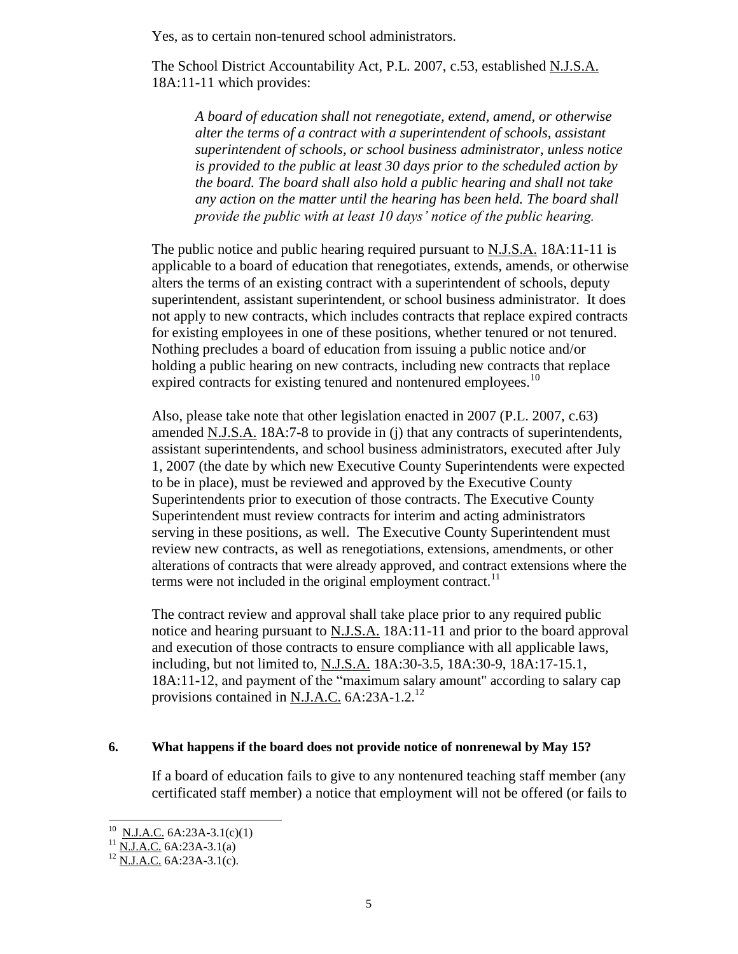Yes, as to certain non-tenured school administrators.

The School District Accountability Act, P.L. 2007, c.53, established N.J.S.A. 18A:11-11 which provides:

*A board of education shall not renegotiate, extend, amend, or otherwise alter the terms of a contract with a superintendent of schools, assistant superintendent of schools, or school business administrator, unless notice is provided to the public at least 30 days prior to the scheduled action by the board. The board shall also hold a public hearing and shall not take any action on the matter until the hearing has been held. The board shall provide the public with at least 10 days' notice of the public hearing.*

The public notice and public hearing required pursuant to N.J.S.A. 18A:11-11 is applicable to a board of education that renegotiates, extends, amends, or otherwise alters the terms of an existing contract with a superintendent of schools, deputy superintendent, assistant superintendent, or school business administrator. It does not apply to new contracts, which includes contracts that replace expired contracts for existing employees in one of these positions, whether tenured or not tenured. Nothing precludes a board of education from issuing a public notice and/or holding a public hearing on new contracts, including new contracts that replace expired contracts for existing tenured and nontenured employees.<sup>10</sup>

Also, please take note that other legislation enacted in 2007 (P.L. 2007, c.63) amended N.J.S.A. 18A:7-8 to provide in (j) that any contracts of superintendents, assistant superintendents, and school business administrators, executed after July 1, 2007 (the date by which new Executive County Superintendents were expected to be in place), must be reviewed and approved by the Executive County Superintendents prior to execution of those contracts. The Executive County Superintendent must review contracts for interim and acting administrators serving in these positions, as well. The Executive County Superintendent must review new contracts, as well as renegotiations, extensions, amendments, or other alterations of contracts that were already approved, and contract extensions where the terms were not included in the original employment contract. $<sup>11</sup>$ </sup>

The contract review and approval shall take place prior to any required public notice and hearing pursuant to N.J.S.A. 18A:11-11 and prior to the board approval and execution of those contracts to ensure compliance with all applicable laws, including, but not limited to, N.J.S.A. 18A:30-3.5, 18A:30-9, 18A:17-15.1, 18A:11-12, and payment of the "maximum salary amount" according to salary cap provisions contained in N.J.A.C.  $6A:23A-1.2$ <sup>12</sup>

#### <span id="page-4-0"></span>**6. What happens if the board does not provide notice of nonrenewal by May 15?**

If a board of education fails to give to any nontenured teaching staff member (any certificated staff member) a notice that employment will not be offered (or fails to

 $^{10}$  N.J.A.C. 6A:23A-3.1(c)(1)

 $^{11}$  N.J.A.C. 6A:23A-3.1(a)

 $^{12}$  N.J.A.C. 6A:23A-3.1(c).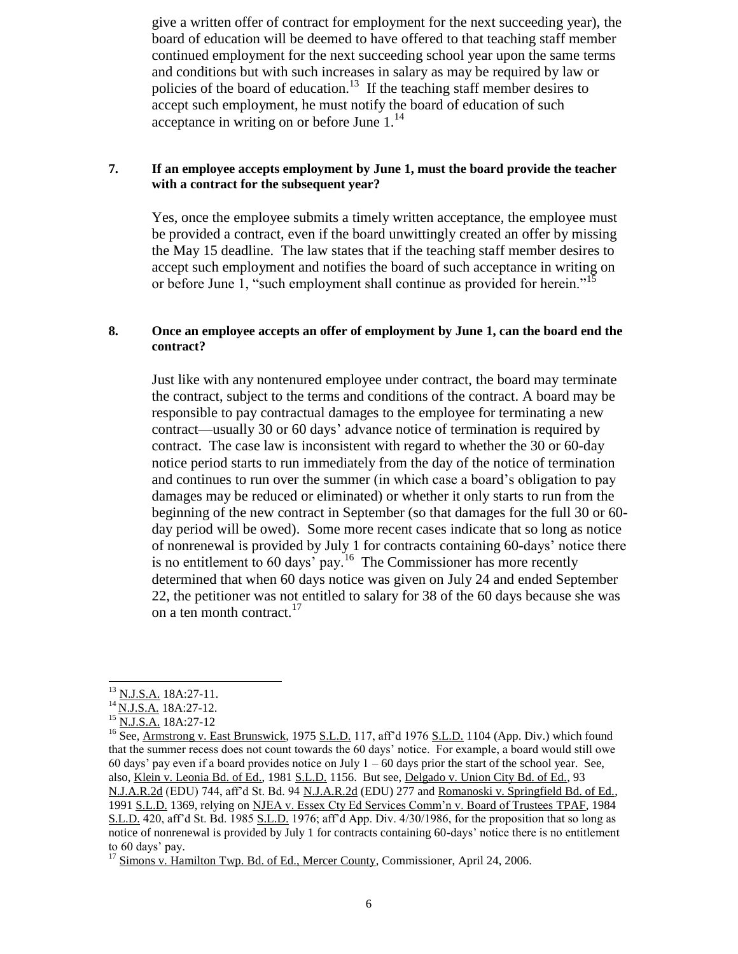give a written offer of contract for employment for the next succeeding year), the board of education will be deemed to have offered to that teaching staff member continued employment for the next succeeding school year upon the same terms and conditions but with such increases in salary as may be required by law or policies of the board of education.<sup>13</sup> If the teaching staff member desires to accept such employment, he must notify the board of education of such acceptance in writing on or before June  $1<sup>14</sup>$ 

# <span id="page-5-0"></span>**7. If an employee accepts employment by June 1, must the board provide the teacher with a contract for the subsequent year?**

Yes, once the employee submits a timely written acceptance, the employee must be provided a contract, even if the board unwittingly created an offer by missing the May 15 deadline. The law states that if the teaching staff member desires to accept such employment and notifies the board of such acceptance in writing on or before June 1, "such employment shall continue as provided for herein."<sup>15</sup>

# <span id="page-5-1"></span>**8. Once an employee accepts an offer of employment by June 1, can the board end the contract?**

Just like with any nontenured employee under contract, the board may terminate the contract, subject to the terms and conditions of the contract. A board may be responsible to pay contractual damages to the employee for terminating a new contract—usually 30 or 60 days' advance notice of termination is required by contract. The case law is inconsistent with regard to whether the 30 or 60-day notice period starts to run immediately from the day of the notice of termination and continues to run over the summer (in which case a board's obligation to pay damages may be reduced or eliminated) or whether it only starts to run from the beginning of the new contract in September (so that damages for the full 30 or 60 day period will be owed). Some more recent cases indicate that so long as notice of nonrenewal is provided by July 1 for contracts containing 60-days' notice there is no entitlement to 60 days' pay.<sup>16</sup> The Commissioner has more recently determined that when 60 days notice was given on July 24 and ended September 22, the petitioner was not entitled to salary for 38 of the 60 days because she was on a ten month contract.<sup>17</sup>

l

<sup>&</sup>lt;sup>13</sup> N.J.S.A. 18A:27-11.

<sup>&</sup>lt;sup>14</sup> N.J.S.A. 18A:27-12.

<sup>&</sup>lt;sup>15</sup> N.J.S.A. 18A:27-12

<sup>&</sup>lt;sup>16</sup> See, Armstrong v. East Brunswick, 1975 S.L.D. 117, aff'd 1976 S.L.D. 1104 (App. Div.) which found that the summer recess does not count towards the 60 days' notice. For example, a board would still owe 60 days' pay even if a board provides notice on July  $1 - 60$  days prior the start of the school year. See, also, Klein v. Leonia Bd. of Ed., 1981 S.L.D. 1156. But see, Delgado v. Union City Bd. of Ed., 93 N.J.A.R.2d (EDU) 744, aff'd St. Bd. 94 N.J.A.R.2d (EDU) 277 and Romanoski v. Springfield Bd. of Ed., 1991 S.L.D. 1369, relying on NJEA v. Essex Cty Ed Services Comm'n v. Board of Trustees TPAF, 1984 S.L.D. 420, aff'd St. Bd. 1985 S.L.D. 1976; aff'd App. Div. 4/30/1986, for the proposition that so long as notice of nonrenewal is provided by July 1 for contracts containing 60-days' notice there is no entitlement to 60 days' pay.

<sup>&</sup>lt;sup>17</sup> Simons v. Hamilton Twp. Bd. of Ed., Mercer County, Commissioner, April 24, 2006.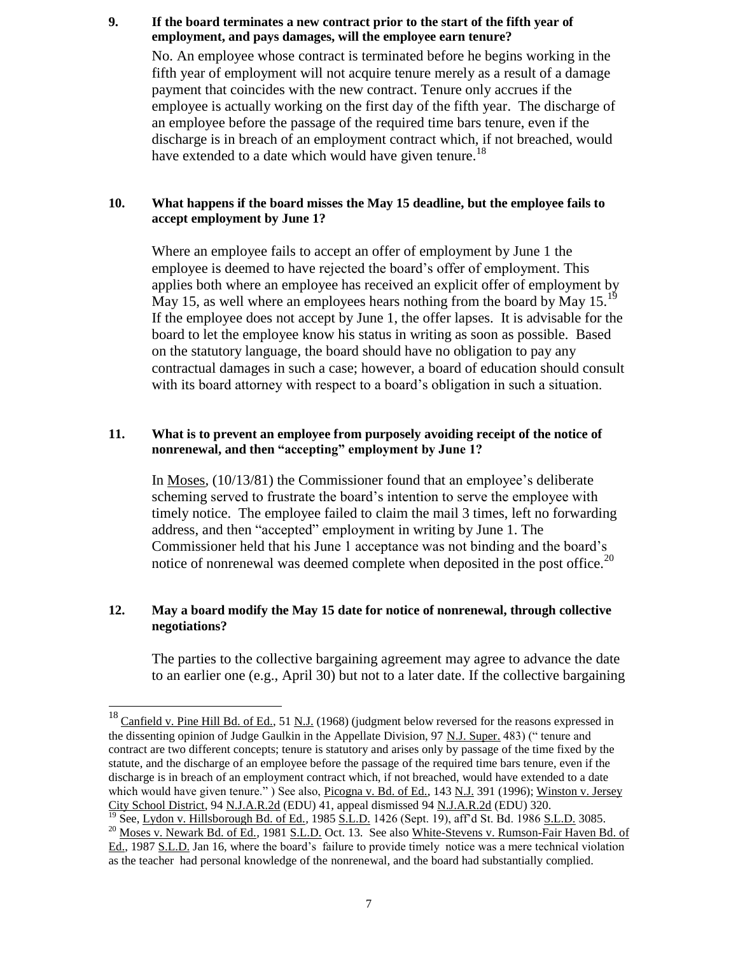# <span id="page-6-0"></span>**9. If the board terminates a new contract prior to the start of the fifth year of employment, and pays damages, will the employee earn tenure?**

No. An employee whose contract is terminated before he begins working in the fifth year of employment will not acquire tenure merely as a result of a damage payment that coincides with the new contract. Tenure only accrues if the employee is actually working on the first day of the fifth year. The discharge of an employee before the passage of the required time bars tenure, even if the discharge is in breach of an employment contract which, if not breached, would have extended to a date which would have given tenure.<sup>18</sup>

## <span id="page-6-1"></span>**10. What happens if the board misses the May 15 deadline, but the employee fails to accept employment by June 1?**

Where an employee fails to accept an offer of employment by June 1 the employee is deemed to have rejected the board's offer of employment. This applies both where an employee has received an explicit offer of employment by May 15, as well where an employees hears nothing from the board by May  $15.^{19}$ If the employee does not accept by June 1, the offer lapses. It is advisable for the board to let the employee know his status in writing as soon as possible. Based on the statutory language, the board should have no obligation to pay any contractual damages in such a case; however, a board of education should consult with its board attorney with respect to a board's obligation in such a situation.

## <span id="page-6-2"></span>**11. What is to prevent an employee from purposely avoiding receipt of the notice of nonrenewal, and then "accepting" employment by June 1?**

In Moses*,* (10/13/81) the Commissioner found that an employee's deliberate scheming served to frustrate the board's intention to serve the employee with timely notice. The employee failed to claim the mail 3 times, left no forwarding address, and then "accepted" employment in writing by June 1. The Commissioner held that his June 1 acceptance was not binding and the board's notice of nonrenewal was deemed complete when deposited in the post office.<sup>20</sup>

# <span id="page-6-3"></span>**12. May a board modify the May 15 date for notice of nonrenewal, through collective negotiations?**

 $\overline{a}$ 

The parties to the collective bargaining agreement may agree to advance the date to an earlier one (e.g., April 30) but not to a later date. If the collective bargaining

 $^{18}$  Canfield v. Pine Hill Bd. of Ed., 51 N.J. (1968) (judgment below reversed for the reasons expressed in the dissenting opinion of Judge Gaulkin in the Appellate Division, 97 N.J. Super. 483) (" tenure and contract are two different concepts; tenure is statutory and arises only by passage of the time fixed by the statute, and the discharge of an employee before the passage of the required time bars tenure, even if the discharge is in breach of an employment contract which, if not breached, would have extended to a date which would have given tenure." ) See also, Picogna v. Bd. of Ed., 143 N.J. 391 (1996); Winston v. Jersey City School District, 94 N.J.A.R.2d (EDU) 41, appeal dismissed 94 N.J.A.R.2d (EDU) 320. <sup>19</sup> See, <u>Lydon v. Hillsborough Bd. of Ed.</u>, 1985 <u>S.L.D.</u> 1426 (Sept. 19), aff'd St. Bd. 1986 <u>S.L.D.</u> 3085.

<sup>20</sup> Moses v. Newark Bd. of Ed.*,* 1981 S.L.D. Oct. 13. See also White-Stevens v. Rumson-Fair Haven Bd. of Ed., 1987 S.L.D. Jan 16, where the board's failure to provide timely notice was a mere technical violation as the teacher had personal knowledge of the nonrenewal, and the board had substantially complied.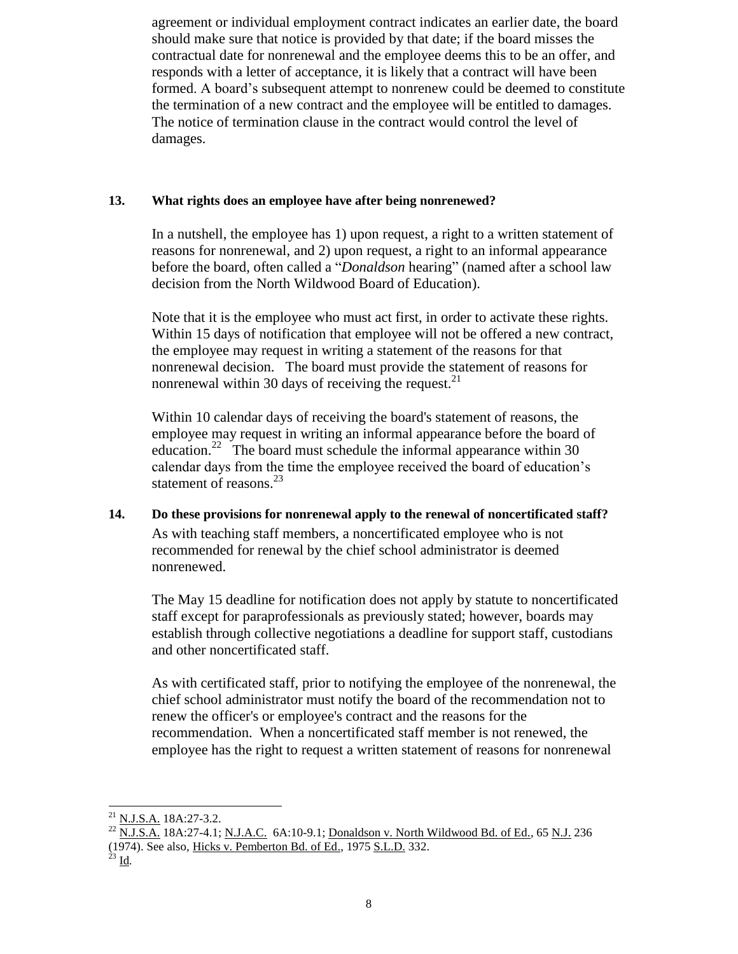agreement or individual employment contract indicates an earlier date, the board should make sure that notice is provided by that date; if the board misses the contractual date for nonrenewal and the employee deems this to be an offer, and responds with a letter of acceptance, it is likely that a contract will have been formed. A board's subsequent attempt to nonrenew could be deemed to constitute the termination of a new contract and the employee will be entitled to damages. The notice of termination clause in the contract would control the level of damages.

# <span id="page-7-0"></span>**13. What rights does an employee have after being nonrenewed?**

In a nutshell, the employee has 1) upon request, a right to a written statement of reasons for nonrenewal, and 2) upon request, a right to an informal appearance before the board, often called a "*Donaldson* hearing" (named after a school law decision from the North Wildwood Board of Education).

Note that it is the employee who must act first, in order to activate these rights. Within 15 days of notification that employee will not be offered a new contract, the employee may request in writing a statement of the reasons for that nonrenewal decision. The board must provide the statement of reasons for nonrenewal within 30 days of receiving the request.<sup>21</sup>

Within 10 calendar days of receiving the board's statement of reasons, the employee may request in writing an informal appearance before the board of education.<sup>22</sup> The board must schedule the informal appearance within 30 calendar days from the time the employee received the board of education's statement of reasons. $^{23}$ 

# <span id="page-7-1"></span>**14. Do these provisions for nonrenewal apply to the renewal of noncertificated staff?**

As with teaching staff members, a noncertificated employee who is not recommended for renewal by the chief school administrator is deemed nonrenewed.

The May 15 deadline for notification does not apply by statute to noncertificated staff except for paraprofessionals as previously stated; however, boards may establish through collective negotiations a deadline for support staff, custodians and other noncertificated staff.

As with certificated staff, prior to notifying the employee of the nonrenewal, the chief school administrator must notify the board of the recommendation not to renew the officer's or employee's contract and the reasons for the recommendation. When a noncertificated staff member is not renewed, the employee has the right to request a written statement of reasons for nonrenewal

 $\overline{a}$ <sup>21</sup> N.J.S.A. 18A:27-3.2.

<sup>&</sup>lt;sup>22</sup> N.J.S.A. 18A:27-4.1; N.J.A.C. 6A:10-9.1; <u>Donaldson v. North Wildwood Bd. of Ed.,</u> 65 N.J. 236 (1974). See also, Hicks v. Pemberton Bd. of Ed., 1975 S.L.D. 332.

 $^{23}$  <u>Id</u>.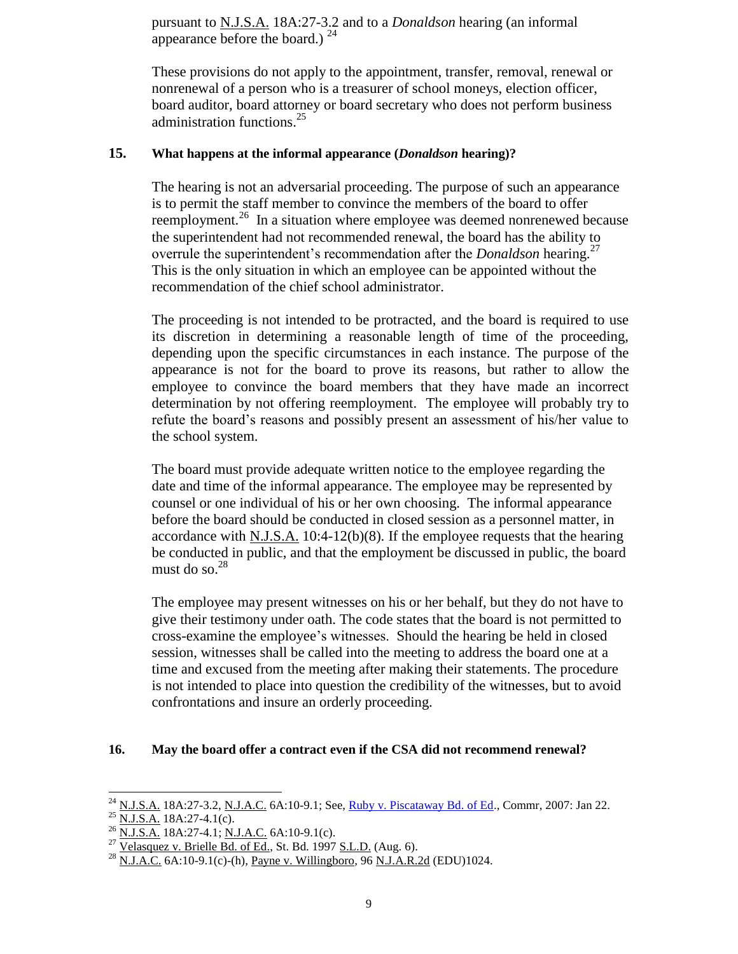pursuant to N.J.S.A. 18A:27-3.2 and to a *Donaldson* hearing (an informal appearance before the board.)  $24$ 

These provisions do not apply to the appointment, transfer, removal, renewal or nonrenewal of a person who is a treasurer of school moneys, election officer, board auditor, board attorney or board secretary who does not perform business administration functions.<sup>25</sup>

# <span id="page-8-0"></span>**15. What happens at the informal appearance (***Donaldson* **hearing)?**

The hearing is not an adversarial proceeding. The purpose of such an appearance is to permit the staff member to convince the members of the board to offer reemployment.<sup>26</sup> In a situation where employee was deemed nonrenewed because the superintendent had not recommended renewal, the board has the ability to overrule the superintendent's recommendation after the *Donaldson* hearing.<sup>27</sup> This is the only situation in which an employee can be appointed without the recommendation of the chief school administrator.

The proceeding is not intended to be protracted, and the board is required to use its discretion in determining a reasonable length of time of the proceeding, depending upon the specific circumstances in each instance. The purpose of the appearance is not for the board to prove its reasons, but rather to allow the employee to convince the board members that they have made an incorrect determination by not offering reemployment. The employee will probably try to refute the board's reasons and possibly present an assessment of his/her value to the school system.

The board must provide adequate written notice to the employee regarding the date and time of the informal appearance. The employee may be represented by counsel or one individual of his or her own choosing. The informal appearance before the board should be conducted in closed session as a personnel matter, in accordance with N.J.S.A. 10:4-12(b)(8). If the employee requests that the hearing be conducted in public, and that the employment be discussed in public, the board must do so. $^{28}$ 

The employee may present witnesses on his or her behalf, but they do not have to give their testimony under oath. The code states that the board is not permitted to cross-examine the employee's witnesses. Should the hearing be held in closed session, witnesses shall be called into the meeting to address the board one at a time and excused from the meeting after making their statements. The procedure is not intended to place into question the credibility of the witnesses, but to avoid confrontations and insure an orderly proceeding.

#### <span id="page-8-1"></span>**16. May the board offer a contract even if the CSA did not recommend renewal?**

 $^{24}$  N.J.S.A. 18A:27-3.2, N.J.A.C. 6A:10-9.1; See, *Ruby [v. Piscataway Bd. of Ed.](http://www.state.nj.us/education/legal/commissioner/2007/jan/34-07.pdf)*, Commr, 2007: Jan 22.

 $^{25}$  N.J.S.A. 18A:27-4.1(c).

 $^{26}$  N.J.S.A. 18A:27-4.1; N.J.A.C. 6A:10-9.1(c).

 $^{27}$  Velasquez v. Brielle Bd. of Ed., St. Bd. 1997 S.L.D. (Aug. 6).

 $^{28}$  N.J.A.C. 6A:10-9.1(c)-(h), Payne v. Willingboro, 96 N.J.A.R.2d (EDU)1024.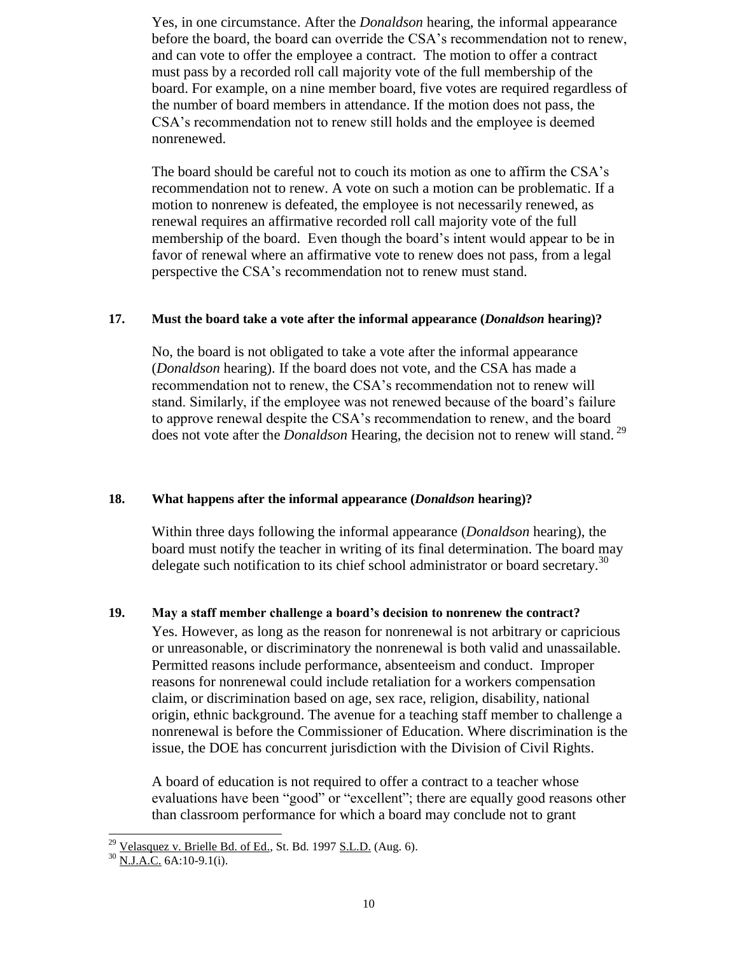Yes, in one circumstance. After the *Donaldson* hearing, the informal appearance before the board, the board can override the CSA's recommendation not to renew, and can vote to offer the employee a contract. The motion to offer a contract must pass by a recorded roll call majority vote of the full membership of the board. For example, on a nine member board, five votes are required regardless of the number of board members in attendance. If the motion does not pass, the CSA's recommendation not to renew still holds and the employee is deemed nonrenewed.

The board should be careful not to couch its motion as one to affirm the CSA's recommendation not to renew. A vote on such a motion can be problematic. If a motion to nonrenew is defeated, the employee is not necessarily renewed, as renewal requires an affirmative recorded roll call majority vote of the full membership of the board. Even though the board's intent would appear to be in favor of renewal where an affirmative vote to renew does not pass, from a legal perspective the CSA's recommendation not to renew must stand.

# <span id="page-9-0"></span>**17. Must the board take a vote after the informal appearance (***Donaldson* **hearing)?**

No, the board is not obligated to take a vote after the informal appearance (*Donaldson* hearing). If the board does not vote, and the CSA has made a recommendation not to renew, the CSA's recommendation not to renew will stand. Similarly, if the employee was not renewed because of the board's failure to approve renewal despite the CSA's recommendation to renew, and the board does not vote after the *Donaldson* Hearing, the decision not to renew will stand. 29

#### <span id="page-9-1"></span>**18. What happens after the informal appearance (***Donaldson* **hearing)?**

Within three days following the informal appearance (*Donaldson* hearing), the board must notify the teacher in writing of its final determination. The board may delegate such notification to its chief school administrator or board secretary.<sup>30</sup>

# <span id="page-9-2"></span>**19. May a staff member challenge a board's decision to nonrenew the contract?**

Yes. However, as long as the reason for nonrenewal is not arbitrary or capricious or unreasonable, or discriminatory the nonrenewal is both valid and unassailable. Permitted reasons include performance, absenteeism and conduct. Improper reasons for nonrenewal could include retaliation for a workers compensation claim, or discrimination based on age, sex race, religion, disability, national origin, ethnic background. The avenue for a teaching staff member to challenge a nonrenewal is before the Commissioner of Education. Where discrimination is the issue, the DOE has concurrent jurisdiction with the Division of Civil Rights.

A board of education is not required to offer a contract to a teacher whose evaluations have been "good" or "excellent"; there are equally good reasons other than classroom performance for which a board may conclude not to grant

 $\overline{a}$  $^{29}$  Velasquez v. Brielle Bd. of Ed., St. Bd. 1997 S.L.D. (Aug. 6).

 $30$  N.J.A.C. 6A:10-9.1(i).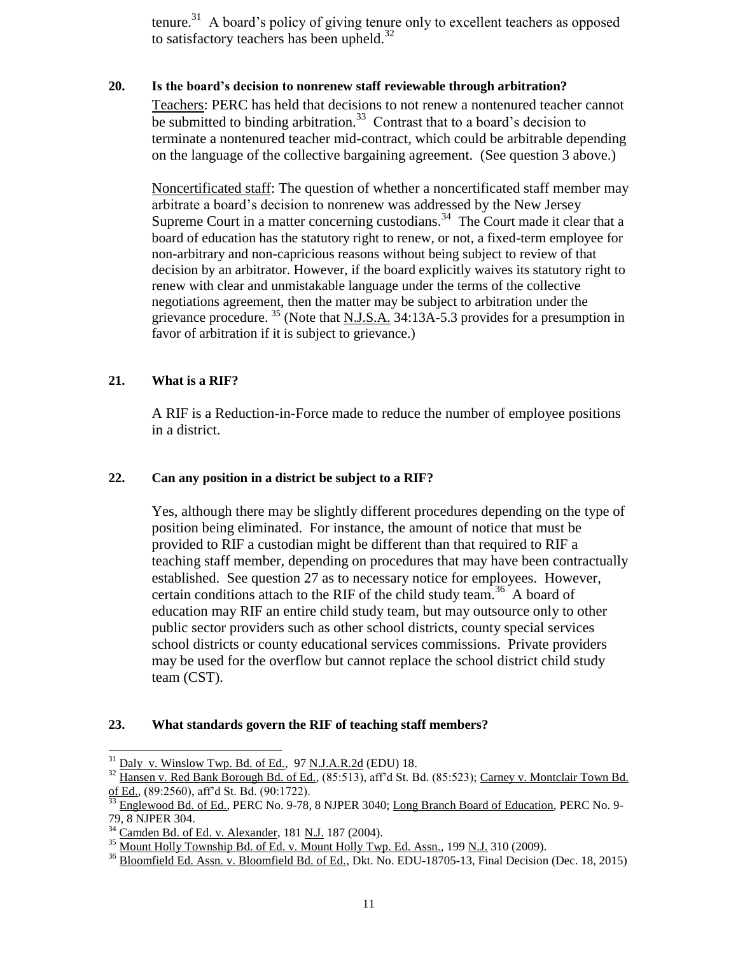tenure.<sup>31</sup> A board's policy of giving tenure only to excellent teachers as opposed to satisfactory teachers has been upheld.<sup>32</sup>

# <span id="page-10-0"></span>**20. Is the board's decision to nonrenew staff reviewable through arbitration?**

Teachers: PERC has held that decisions to not renew a nontenured teacher cannot be submitted to binding arbitration.<sup>33</sup> Contrast that to a board's decision to terminate a nontenured teacher mid-contract, which could be arbitrable depending on the language of the collective bargaining agreement. (See question 3 above.)

Noncertificated staff: The question of whether a noncertificated staff member may arbitrate a board's decision to nonrenew was addressed by the New Jersey Supreme Court in a matter concerning custodians.<sup>34</sup> The Court made it clear that a board of education has the statutory right to renew, or not, a fixed-term employee for non-arbitrary and non-capricious reasons without being subject to review of that decision by an arbitrator. However, if the board explicitly waives its statutory right to renew with clear and unmistakable language under the terms of the collective negotiations agreement, then the matter may be subject to arbitration under the grievance procedure.  $35$  (Note that <u>N.J.S.A.</u> 34:13A-5.3 provides for a presumption in favor of arbitration if it is subject to grievance.)

# <span id="page-10-1"></span>**21. What is a RIF?**

 $\overline{a}$ 

A RIF is a Reduction-in-Force made to reduce the number of employee positions in a district.

## <span id="page-10-2"></span>**22. Can any position in a district be subject to a RIF?**

Yes, although there may be slightly different procedures depending on the type of position being eliminated. For instance, the amount of notice that must be provided to RIF a custodian might be different than that required to RIF a teaching staff member, depending on procedures that may have been contractually established. See question 27 as to necessary notice for employees. However, certain conditions attach to the RIF of the child study team.<sup>36</sup> A board of education may RIF an entire child study team, but may outsource only to other public sector providers such as other school districts, county special services school districts or county educational services commissions. Private providers may be used for the overflow but cannot replace the school district child study team (CST).

#### <span id="page-10-3"></span>**23. What standards govern the RIF of teaching staff members?**

 $31$  Daly v. Winslow Twp. Bd. of Ed., 97 N.J.A.R.2d (EDU) 18.

<sup>32</sup> Hansen v. Red Bank Borough Bd. of Ed.*,* (85:513), aff'd St. Bd. (85:523); Carney v. Montclair Town Bd. of Ed.*,* (89:2560), aff'd St. Bd. (90:1722).

<sup>33</sup> Englewood Bd. of Ed., PERC No. 9-78, 8 NJPER 3040; Long Branch Board of Education*,* PERC No. 9- 79, 8 NJPER 304.

<sup>&</sup>lt;sup>34</sup> Camden Bd. of Ed. v. Alexander, 181 N.J. 187 (2004).

<sup>&</sup>lt;sup>35</sup> Mount Holly Township Bd. of Ed. <u>v. Mount Holly Twp. Ed. Assn.</u>, 199 <u>N.J.</u> 310 (2009).

<sup>&</sup>lt;sup>36</sup> Bloomfield Ed. Assn. v. Bloomfield Bd. of Ed., Dkt. No. EDU-18705-13, Final Decision (Dec. 18, 2015)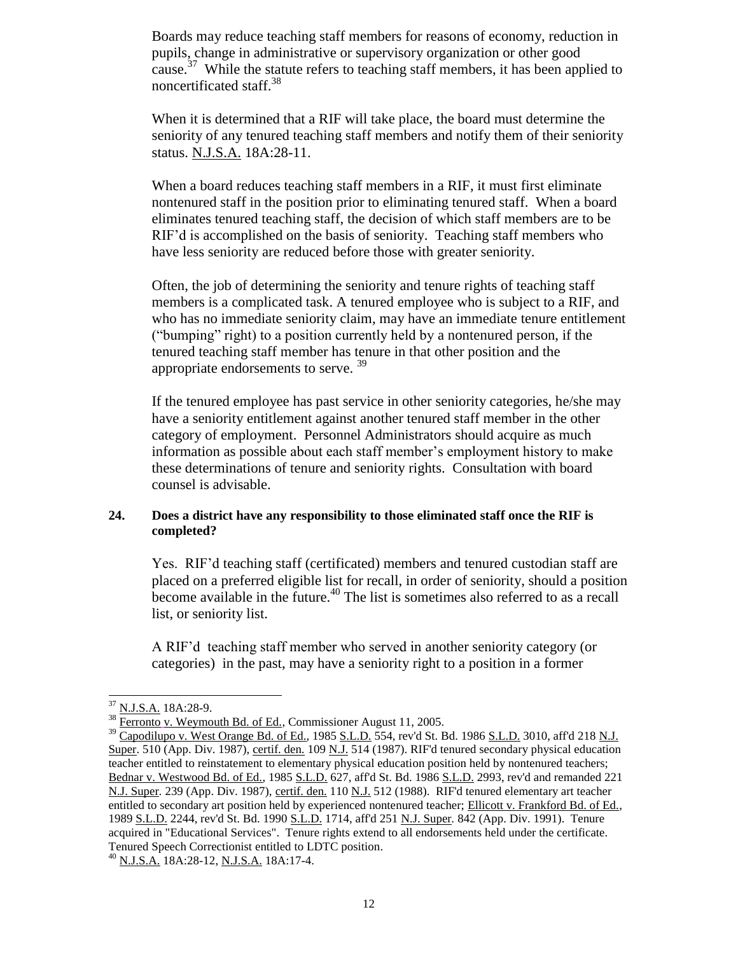Boards may reduce teaching staff members for reasons of economy, reduction in pupils, change in administrative or supervisory organization or other good cause.<sup>37</sup> While the statute refers to teaching staff members, it has been applied to noncertificated staff.<sup>38</sup>

When it is determined that a RIF will take place, the board must determine the seniority of any tenured teaching staff members and notify them of their seniority status. N.J.S.A. 18A:28-11.

When a board reduces teaching staff members in a RIF, it must first eliminate nontenured staff in the position prior to eliminating tenured staff. When a board eliminates tenured teaching staff, the decision of which staff members are to be RIF'd is accomplished on the basis of seniority. Teaching staff members who have less seniority are reduced before those with greater seniority.

Often, the job of determining the seniority and tenure rights of teaching staff members is a complicated task. A tenured employee who is subject to a RIF, and who has no immediate seniority claim, may have an immediate tenure entitlement ("bumping" right) to a position currently held by a nontenured person, if the tenured teaching staff member has tenure in that other position and the appropriate endorsements to serve.<sup>39</sup>

If the tenured employee has past service in other seniority categories, he/she may have a seniority entitlement against another tenured staff member in the other category of employment. Personnel Administrators should acquire as much information as possible about each staff member's employment history to make these determinations of tenure and seniority rights. Consultation with board counsel is advisable.

#### <span id="page-11-0"></span>**24. Does a district have any responsibility to those eliminated staff once the RIF is completed?**

Yes. RIF'd teaching staff (certificated) members and tenured custodian staff are placed on a preferred eligible list for recall, in order of seniority, should a position become available in the future.<sup>40</sup> The list is sometimes also referred to as a recall list, or seniority list.

A RIF'd teaching staff member who served in another seniority category (or categories) in the past, may have a seniority right to a position in a former

<sup>37</sup> N.J.S.A. 18A:28-9.

 $38 \overline{\text{Ferronto}}$  v. Weymouth Bd. of Ed., Commissioner August 11, 2005.

<sup>&</sup>lt;sup>39</sup> Capodilupo v. West Orange Bd. of Ed., 1985 S.L.D. 554, rev'd St. Bd. 1986 S.L.D. 3010, aff'd 218 N.J. Super. 510 (App. Div. 1987), certif. den. 109 N.J. 514 (1987). RIF'd tenured secondary physical education teacher entitled to reinstatement to elementary physical education position held by nontenured teachers; Bednar v. Westwood Bd. of Ed., 1985 S.L.D. 627, aff'd St. Bd. 1986 S.L.D. 2993, rev'd and remanded 221 N.J. Super*.* 239 (App. Div. 1987), certif. den. 110 N.J. 512 (1988). RIF'd tenured elementary art teacher entitled to secondary art position held by experienced nontenured teacher; Ellicott v. Frankford Bd. of Ed., 1989 S.L.D. 2244, rev'd St. Bd. 1990 S.L.D. 1714, aff'd 251 N.J. Super*.* 842 (App. Div. 1991). Tenure acquired in "Educational Services". Tenure rights extend to all endorsements held under the certificate. Tenured Speech Correctionist entitled to LDTC position.

 $^{40}$  N.J.S.A. 18A:28-12, N.J.S.A. 18A:17-4.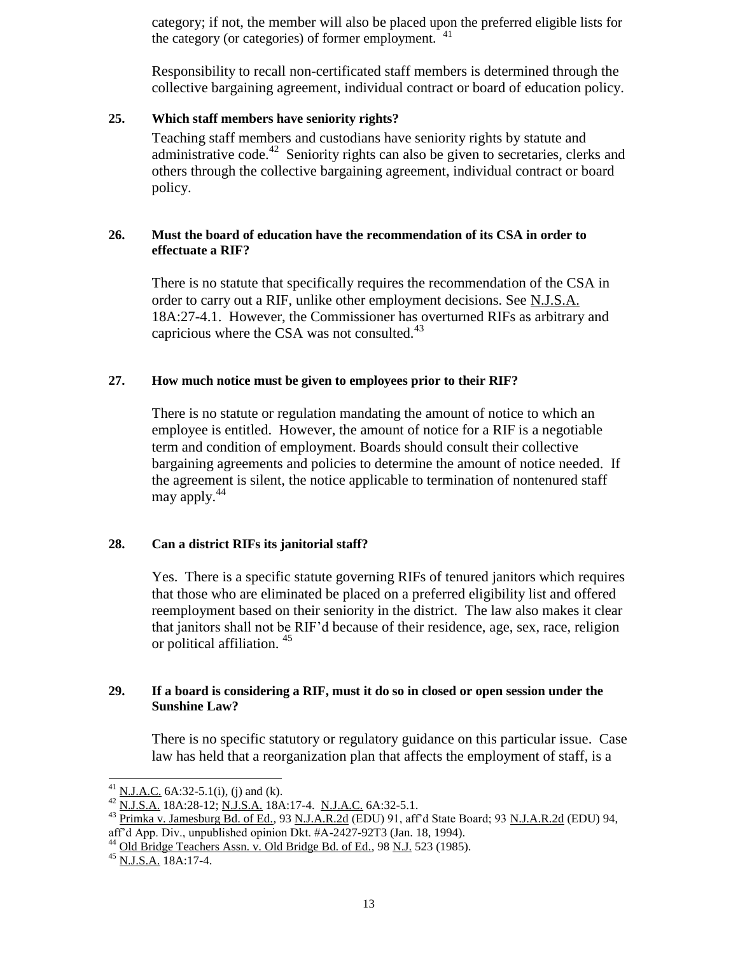category; if not, the member will also be placed upon the preferred eligible lists for the category (or categories) of former employment.  $41$ 

Responsibility to recall non-certificated staff members is determined through the collective bargaining agreement, individual contract or board of education policy.

## <span id="page-12-0"></span>**25. Which staff members have seniority rights?**

Teaching staff members and custodians have seniority rights by statute and administrative code.<sup>42</sup> Seniority rights can also be given to secretaries, clerks and others through the collective bargaining agreement, individual contract or board policy.

# <span id="page-12-1"></span>**26. Must the board of education have the recommendation of its CSA in order to effectuate a RIF?**

There is no statute that specifically requires the recommendation of the CSA in order to carry out a RIF, unlike other employment decisions. See N.J.S.A. 18A:27-4.1. However, the Commissioner has overturned RIFs as arbitrary and capricious where the CSA was not consulted. $43$ 

# <span id="page-12-2"></span>**27. How much notice must be given to employees prior to their RIF?**

There is no statute or regulation mandating the amount of notice to which an employee is entitled. However, the amount of notice for a RIF is a negotiable term and condition of employment. Boards should consult their collective bargaining agreements and policies to determine the amount of notice needed. If the agreement is silent, the notice applicable to termination of nontenured staff may apply. $44$ 

#### <span id="page-12-3"></span>**28. Can a district RIFs its janitorial staff?**

Yes. There is a specific statute governing RIFs of tenured janitors which requires that those who are eliminated be placed on a preferred eligibility list and offered reemployment based on their seniority in the district. The law also makes it clear that janitors shall not be RIF'd because of their residence, age, sex, race, religion or political affiliation. <sup>45</sup>

# <span id="page-12-4"></span>**29. If a board is considering a RIF, must it do so in closed or open session under the Sunshine Law?**

There is no specific statutory or regulatory guidance on this particular issue. Case law has held that a reorganization plan that affects the employment of staff, is a

<sup>&</sup>lt;sup>41</sup> N.J.A.C. 6A:32-5.1(i), (j) and (k).

 $^{42}$  N.J.S.A. 18A:28-12; N.J.S.A. 18A:17-4. N.J.A.C. 6A:32-5.1.

<sup>&</sup>lt;sup>43</sup> Primka v. Jamesburg Bd. of Ed., 93 N.J.A.R.2d (EDU) 91, aff'd State Board; 93 N.J.A.R.2d (EDU) 94, aff'd App. Div., unpublished opinion Dkt. #A-2427-92T3 (Jan. 18, 1994).

<sup>&</sup>lt;sup>44</sup> Old Bridge Teachers Assn. v. Old Bridge Bd. of Ed., 98 N.J. 523 (1985).

 $^{45}$  N.J.S.A. 18A:17-4.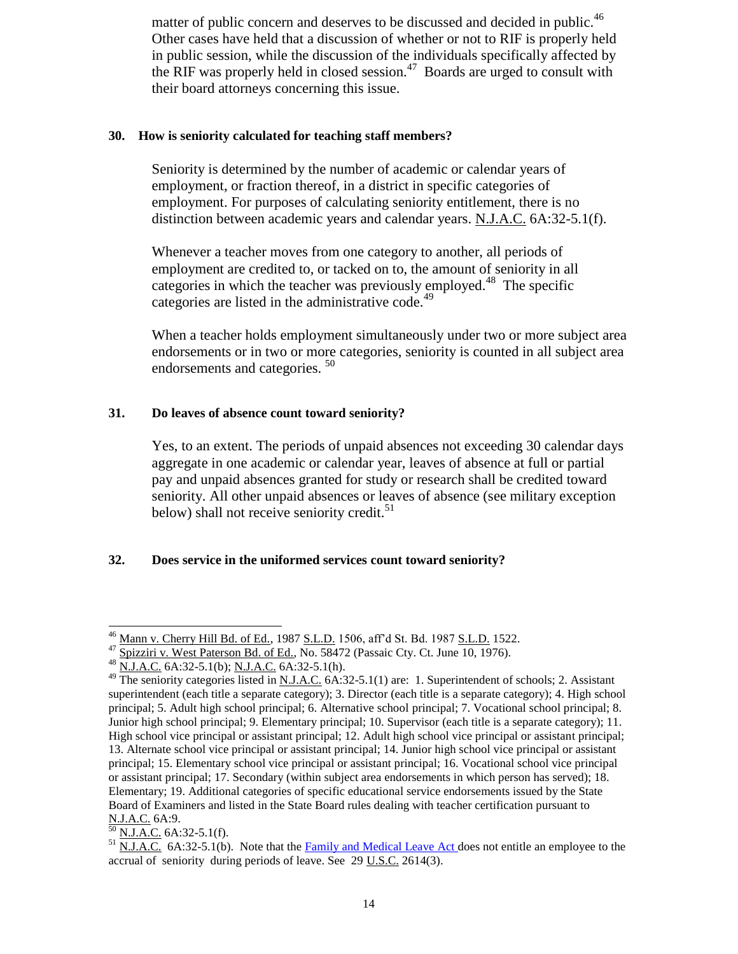matter of public concern and deserves to be discussed and decided in public.<sup>46</sup> Other cases have held that a discussion of whether or not to RIF is properly held in public session, while the discussion of the individuals specifically affected by the RIF was properly held in closed session.<sup>47</sup> Boards are urged to consult with their board attorneys concerning this issue.

## <span id="page-13-0"></span>**30. How is seniority calculated for teaching staff members?**

Seniority is determined by the number of academic or calendar years of employment, or fraction thereof, in a district in specific categories of employment. For purposes of calculating seniority entitlement, there is no distinction between academic years and calendar years. N.J.A.C. 6A:32-5.1(f).

Whenever a teacher moves from one category to another, all periods of employment are credited to, or tacked on to, the amount of seniority in all categories in which the teacher was previously employed. 48 The specific categories are listed in the administrative code.<sup>49</sup>

When a teacher holds employment simultaneously under two or more subject area endorsements or in two or more categories, seniority is counted in all subject area endorsements and categories.<sup>50</sup>

# <span id="page-13-1"></span>**31. Do leaves of absence count toward seniority?**

Yes, to an extent. The periods of unpaid absences not exceeding 30 calendar days aggregate in one academic or calendar year, leaves of absence at full or partial pay and unpaid absences granted for study or research shall be credited toward seniority. All other unpaid absences or leaves of absence (see military exception below) shall not receive seniority credit.<sup>51</sup>

# <span id="page-13-2"></span>**32. Does service in the uniformed services count toward seniority?**

$$
\frac{50 \text{ N.J.A.C.}}{64.32-5.1(f)}
$$

 $\overline{a}$ <sup>46</sup> Mann v. Cherry Hill Bd. of Ed., 1987 <u>S.L.D.</u> 1506, aff'd St. Bd. 1987 <u>S.L.D.</u> 1522.

<sup>&</sup>lt;sup>47</sup> Spizziri v. West Paterson Bd. of Ed., No. 58472 (Passaic Cty. Ct. June 10, 1976).

<sup>48</sup> N.J.A.C. 6A:32-5.1(b); N.J.A.C. 6A:32-5.1(h).

 $49$  The seniority categories listed in N.J.A.C. 6A:32-5.1(1) are: 1. Superintendent of schools; 2. Assistant superintendent (each title a separate category); 3. Director (each title is a separate category); 4. High school principal; 5. Adult high school principal; 6. Alternative school principal; 7. Vocational school principal; 8. Junior high school principal; 9. Elementary principal; 10. Supervisor (each title is a separate category); 11. High school vice principal or assistant principal; 12. Adult high school vice principal or assistant principal; 13. Alternate school vice principal or assistant principal; 14. Junior high school vice principal or assistant principal; 15. Elementary school vice principal or assistant principal; 16. Vocational school vice principal or assistant principal; 17. Secondary (within subject area endorsements in which person has served); 18. Elementary; 19. Additional categories of specific educational service endorsements issued by the State Board of Examiners and listed in the State Board rules dealing with teacher certification pursuant to N.J.A.C. 6A:9.

 $<sup>51</sup>$  N.J.A.C. 6A:32-5.1(b). Note that the [Family and Medical Leave Act d](http://www.dol.gov/esa/whd/fmla/fmlaAmended.htm)oes not entitle an employee to the</sup> accrual of seniority during periods of leave. See  $29$  U.S.C.  $2614(3)$ .